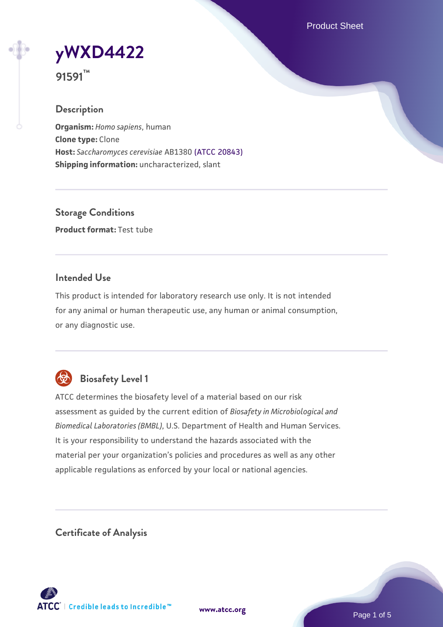Product Sheet

**[yWXD4422](https://www.atcc.org/products/91591)**

**91591™**

## **Description**

**Organism:** *Homo sapiens*, human **Clone type:** Clone **Host:** *Saccharomyces cerevisiae* AB1380 [\(ATCC 20843\)](https://www.atcc.org/products/20843) **Shipping information:** uncharacterized, slant

**Storage Conditions Product format:** Test tube

## **Intended Use**

This product is intended for laboratory research use only. It is not intended for any animal or human therapeutic use, any human or animal consumption, or any diagnostic use.



# **Biosafety Level 1**

ATCC determines the biosafety level of a material based on our risk assessment as guided by the current edition of *Biosafety in Microbiological and Biomedical Laboratories (BMBL)*, U.S. Department of Health and Human Services. It is your responsibility to understand the hazards associated with the material per your organization's policies and procedures as well as any other applicable regulations as enforced by your local or national agencies.

**Certificate of Analysis**

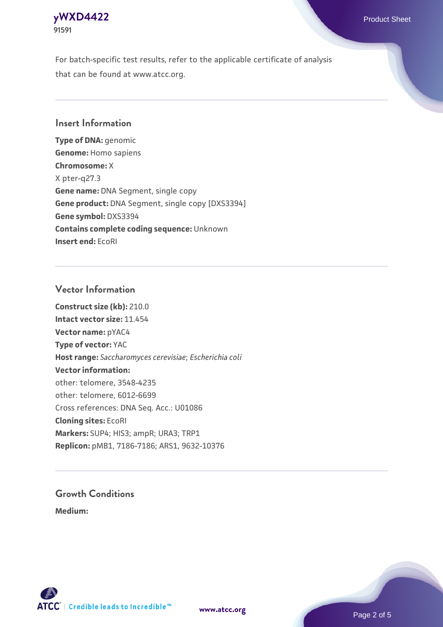### **[yWXD4422](https://www.atcc.org/products/91591)** Product Sheet **91591**

For batch-specific test results, refer to the applicable certificate of analysis that can be found at www.atcc.org.

## **Insert Information**

**Type of DNA:** genomic **Genome:** Homo sapiens **Chromosome:** X X pter-q27.3 **Gene name:** DNA Segment, single copy **Gene product:** DNA Segment, single copy [DXS3394] **Gene symbol:** DXS3394 **Contains complete coding sequence:** Unknown **Insert end:** EcoRI

## **Vector Information**

**Construct size (kb):** 210.0 **Intact vector size:** 11.454 **Vector name:** pYAC4 **Type of vector:** YAC **Host range:** *Saccharomyces cerevisiae*; *Escherichia coli* **Vector information:** other: telomere, 3548-4235 other: telomere, 6012-6699 Cross references: DNA Seq. Acc.: U01086 **Cloning sites:** EcoRI **Markers:** SUP4; HIS3; ampR; URA3; TRP1 **Replicon:** pMB1, 7186-7186; ARS1, 9632-10376

# **Growth Conditions**

**Medium:** 



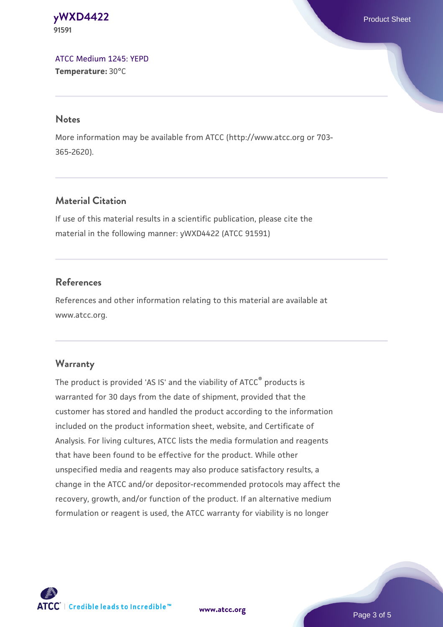#### **[yWXD4422](https://www.atcc.org/products/91591)** Product Sheet **91591**

[ATCC Medium 1245: YEPD](https://www.atcc.org/-/media/product-assets/documents/microbial-media-formulations/1/2/4/5/atcc-medium-1245.pdf?rev=705ca55d1b6f490a808a965d5c072196) **Temperature:** 30°C

#### **Notes**

More information may be available from ATCC (http://www.atcc.org or 703- 365-2620).

# **Material Citation**

If use of this material results in a scientific publication, please cite the material in the following manner: yWXD4422 (ATCC 91591)

# **References**

References and other information relating to this material are available at www.atcc.org.

# **Warranty**

The product is provided 'AS IS' and the viability of ATCC® products is warranted for 30 days from the date of shipment, provided that the customer has stored and handled the product according to the information included on the product information sheet, website, and Certificate of Analysis. For living cultures, ATCC lists the media formulation and reagents that have been found to be effective for the product. While other unspecified media and reagents may also produce satisfactory results, a change in the ATCC and/or depositor-recommended protocols may affect the recovery, growth, and/or function of the product. If an alternative medium formulation or reagent is used, the ATCC warranty for viability is no longer



**[www.atcc.org](http://www.atcc.org)**

Page 3 of 5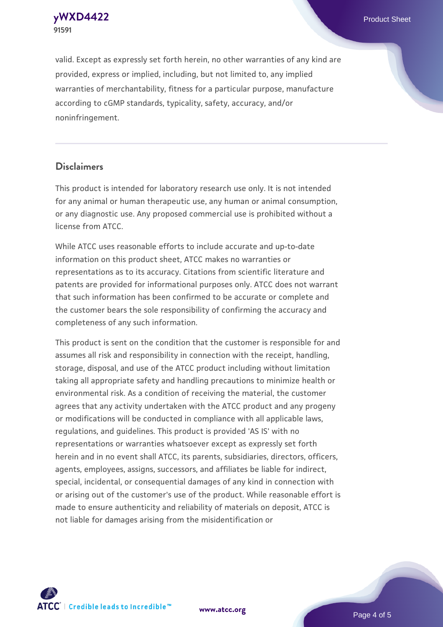**91591**

valid. Except as expressly set forth herein, no other warranties of any kind are provided, express or implied, including, but not limited to, any implied warranties of merchantability, fitness for a particular purpose, manufacture according to cGMP standards, typicality, safety, accuracy, and/or noninfringement.

#### **Disclaimers**

This product is intended for laboratory research use only. It is not intended for any animal or human therapeutic use, any human or animal consumption, or any diagnostic use. Any proposed commercial use is prohibited without a license from ATCC.

While ATCC uses reasonable efforts to include accurate and up-to-date information on this product sheet, ATCC makes no warranties or representations as to its accuracy. Citations from scientific literature and patents are provided for informational purposes only. ATCC does not warrant that such information has been confirmed to be accurate or complete and the customer bears the sole responsibility of confirming the accuracy and completeness of any such information.

This product is sent on the condition that the customer is responsible for and assumes all risk and responsibility in connection with the receipt, handling, storage, disposal, and use of the ATCC product including without limitation taking all appropriate safety and handling precautions to minimize health or environmental risk. As a condition of receiving the material, the customer agrees that any activity undertaken with the ATCC product and any progeny or modifications will be conducted in compliance with all applicable laws, regulations, and guidelines. This product is provided 'AS IS' with no representations or warranties whatsoever except as expressly set forth herein and in no event shall ATCC, its parents, subsidiaries, directors, officers, agents, employees, assigns, successors, and affiliates be liable for indirect, special, incidental, or consequential damages of any kind in connection with or arising out of the customer's use of the product. While reasonable effort is made to ensure authenticity and reliability of materials on deposit, ATCC is not liable for damages arising from the misidentification or



**[www.atcc.org](http://www.atcc.org)**

Page 4 of 5